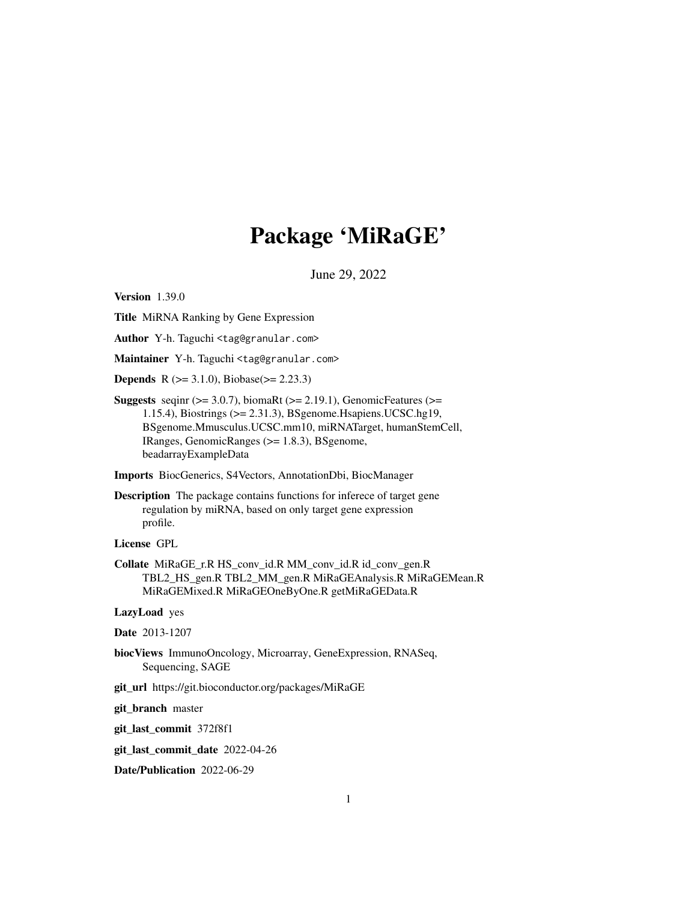## Package 'MiRaGE'

June 29, 2022

Version 1.39.0

Title MiRNA Ranking by Gene Expression

Author Y-h. Taguchi <tag@granular.com>

Maintainer Y-h. Taguchi <tag@granular.com>

**Depends** R ( $>= 3.1.0$ ), Biobase( $>= 2.23.3$ )

Suggests seqinr  $(>= 3.0.7)$ , biomaRt  $(>= 2.19.1)$ , GenomicFeatures  $(>=$ 1.15.4), Biostrings (>= 2.31.3), BSgenome.Hsapiens.UCSC.hg19, BSgenome.Mmusculus.UCSC.mm10, miRNATarget, humanStemCell, IRanges, GenomicRanges (>= 1.8.3), BSgenome, beadarrayExampleData

Imports BiocGenerics, S4Vectors, AnnotationDbi, BiocManager

Description The package contains functions for inferece of target gene regulation by miRNA, based on only target gene expression profile.

License GPL

Collate MiRaGE\_r.R HS\_conv\_id.R MM\_conv\_id.R id\_conv\_gen.R TBL2\_HS\_gen.R TBL2\_MM\_gen.R MiRaGEAnalysis.R MiRaGEMean.R MiRaGEMixed.R MiRaGEOneByOne.R getMiRaGEData.R

LazyLoad yes

Date 2013-1207

- biocViews ImmunoOncology, Microarray, GeneExpression, RNASeq, Sequencing, SAGE
- git\_url https://git.bioconductor.org/packages/MiRaGE

git\_branch master

git\_last\_commit 372f8f1

git\_last\_commit\_date 2022-04-26

Date/Publication 2022-06-29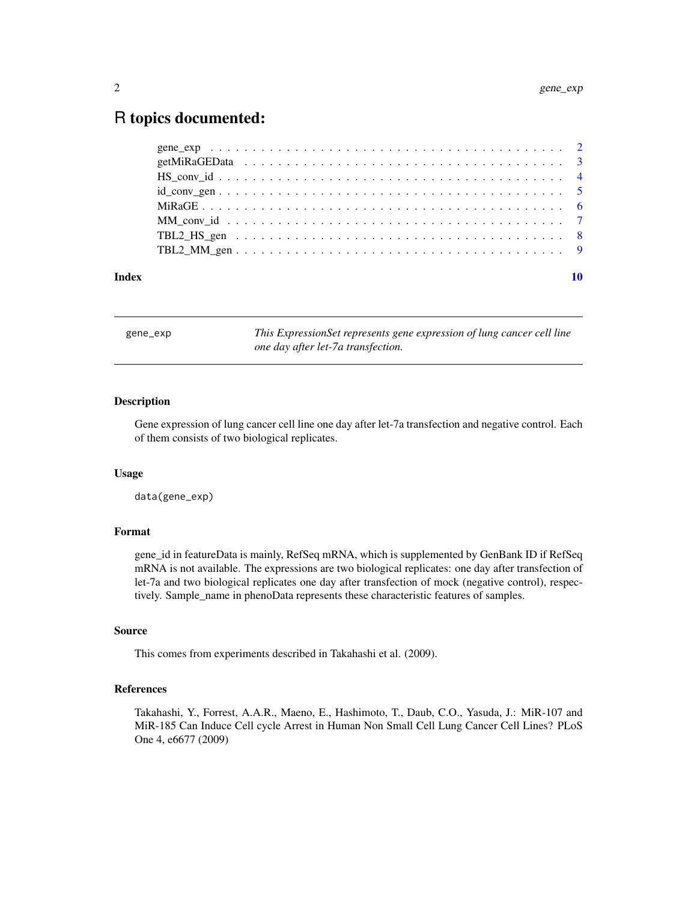### <span id="page-1-0"></span>R topics documented:

| Index |  |
|-------|--|

gene\_exp *This ExpressionSet represents gene expression of lung cancer cell line one day after let-7a transfection.*

#### Description

Gene expression of lung cancer cell line one day after let-7a transfection and negative control. Each of them consists of two biological replicates.

#### Usage

data(gene\_exp)

#### Format

gene\_id in featureData is mainly, RefSeq mRNA, which is supplemented by GenBank ID if RefSeq mRNA is not available. The expressions are two biological replicates: one day after transfection of let-7a and two biological replicates one day after transfection of mock (negative control), respectively. Sample\_name in phenoData represents these characteristic features of samples.

#### Source

This comes from experiments described in Takahashi et al. (2009).

#### References

Takahashi, Y., Forrest, A.A.R., Maeno, E., Hashimoto, T., Daub, C.O., Yasuda, J.: MiR-107 and MiR-185 Can Induce Cell cycle Arrest in Human Non Small Cell Lung Cancer Cell Lines? PLoS One 4, e6677 (2009)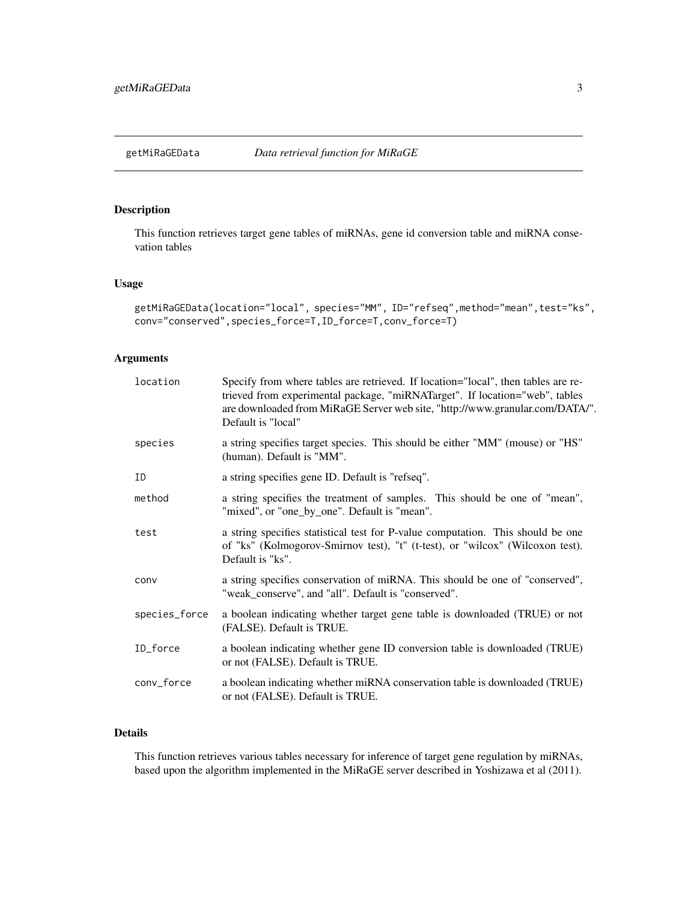#### <span id="page-2-0"></span>Description

This function retrieves target gene tables of miRNAs, gene id conversion table and miRNA consevation tables

#### Usage

```
getMiRaGEData(location="local", species="MM", ID="refseq",method="mean",test="ks",
conv="conserved",species_force=T,ID_force=T,conv_force=T)
```
#### Arguments

| location      | Specify from where tables are retrieved. If location="local", then tables are re-<br>trieved from experimental package, "miRNATarget". If location="web", tables<br>are downloaded from MiRaGE Server web site, "http://www.granular.com/DATA/".<br>Default is "local" |
|---------------|------------------------------------------------------------------------------------------------------------------------------------------------------------------------------------------------------------------------------------------------------------------------|
| species       | a string specifies target species. This should be either "MM" (mouse) or "HS"<br>(human). Default is "MM".                                                                                                                                                             |
| ID            | a string specifies gene ID. Default is "refseq".                                                                                                                                                                                                                       |
| method        | a string specifies the treatment of samples. This should be one of "mean",<br>"mixed", or "one_by_one". Default is "mean".                                                                                                                                             |
| test          | a string specifies statistical test for P-value computation. This should be one<br>of "ks" (Kolmogorov-Smirnov test), "t" (t-test), or "wilcox" (Wilcoxon test).<br>Default is "ks".                                                                                   |
| conv          | a string specifies conservation of miRNA. This should be one of "conserved",<br>"weak_conserve", and "all". Default is "conserved".                                                                                                                                    |
| species_force | a boolean indicating whether target gene table is downloaded (TRUE) or not<br>(FALSE). Default is TRUE.                                                                                                                                                                |
| ID_force      | a boolean indicating whether gene ID conversion table is downloaded (TRUE)<br>or not (FALSE). Default is TRUE.                                                                                                                                                         |
| conv_force    | a boolean indicating whether miRNA conservation table is downloaded (TRUE)<br>or not (FALSE). Default is TRUE.                                                                                                                                                         |
|               |                                                                                                                                                                                                                                                                        |

#### Details

This function retrieves various tables necessary for inference of target gene regulation by miRNAs, based upon the algorithm implemented in the MiRaGE server described in Yoshizawa et al (2011).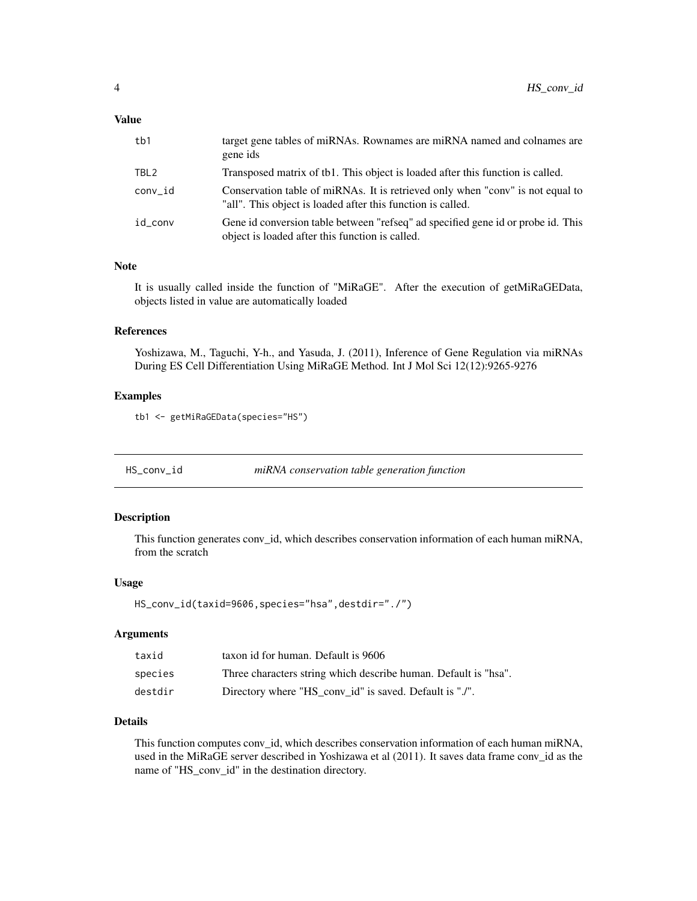#### <span id="page-3-0"></span>Value

| tb1              | target gene tables of miRNAs. Rownames are miRNA named and colnames are<br>gene ids                                                           |
|------------------|-----------------------------------------------------------------------------------------------------------------------------------------------|
| TBL <sub>2</sub> | Transposed matrix of tb1. This object is loaded after this function is called.                                                                |
| conv id          | Conservation table of miRNAs. It is retrieved only when "conv" is not equal to<br>"all". This object is loaded after this function is called. |
| id conv          | Gene id conversion table between "refseq" ad specified gene id or probe id. This<br>object is loaded after this function is called.           |

#### Note

It is usually called inside the function of "MiRaGE". After the execution of getMiRaGEData, objects listed in value are automatically loaded

#### References

Yoshizawa, M., Taguchi, Y-h., and Yasuda, J. (2011), Inference of Gene Regulation via miRNAs During ES Cell Differentiation Using MiRaGE Method. Int J Mol Sci 12(12):9265-9276

#### Examples

tb1 <- getMiRaGEData(species="HS")

HS\_conv\_id *miRNA conservation table generation function*

#### Description

This function generates conv\_id, which describes conservation information of each human miRNA, from the scratch

#### Usage

```
HS_conv_id(taxid=9606,species="hsa",destdir="./")
```
#### **Arguments**

| taxid   | taxon id for human. Default is 9606                             |
|---------|-----------------------------------------------------------------|
| species | Three characters string which describe human. Default is "hsa". |
| destdir | Directory where "HS_conv_id" is saved. Default is "./".         |

#### Details

This function computes conv\_id, which describes conservation information of each human miRNA, used in the MiRaGE server described in Yoshizawa et al (2011). It saves data frame conv\_id as the name of "HS\_conv\_id" in the destination directory.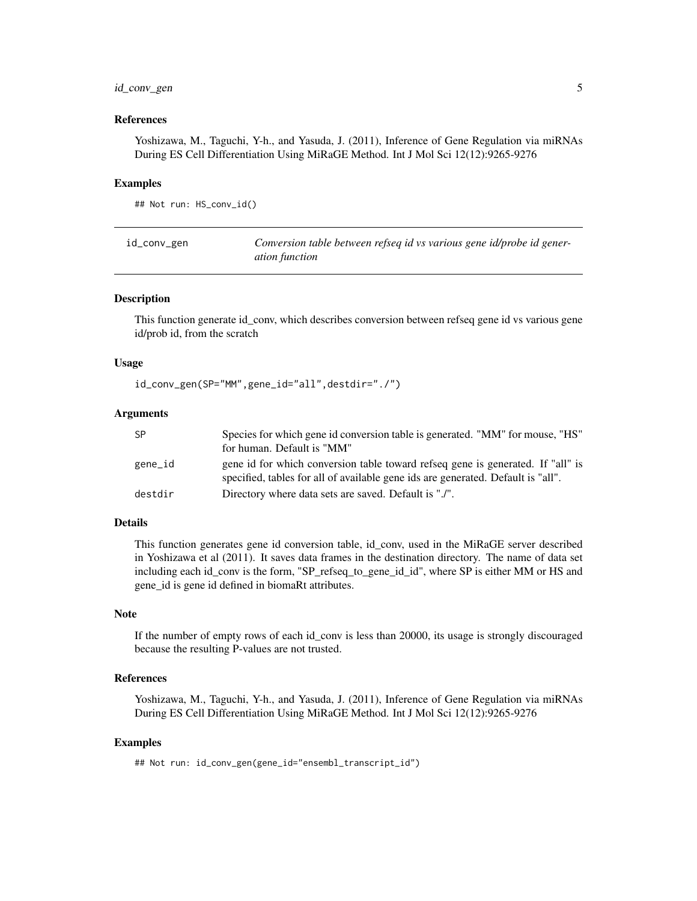#### <span id="page-4-0"></span>id\_conv\_gen 5

#### References

Yoshizawa, M., Taguchi, Y-h., and Yasuda, J. (2011), Inference of Gene Regulation via miRNAs During ES Cell Differentiation Using MiRaGE Method. Int J Mol Sci 12(12):9265-9276

#### Examples

## Not run: HS\_conv\_id()

| id_conv_gen | Conversion table between refseq id vs various gene id/probe id gener- |
|-------------|-----------------------------------------------------------------------|
|             | <i>ation function</i>                                                 |

#### Description

This function generate id\_conv, which describes conversion between refseq gene id vs various gene id/prob id, from the scratch

#### Usage

id\_conv\_gen(SP="MM",gene\_id="all",destdir="./")

#### Arguments

| <b>SP</b> | Species for which gene id conversion table is generated. "MM" for mouse, "HS"                                                                                       |
|-----------|---------------------------------------------------------------------------------------------------------------------------------------------------------------------|
|           | for human. Default is "MM"                                                                                                                                          |
| gene_id   | gene id for which conversion table toward refseq gene is generated. If "all" is<br>specified, tables for all of available gene ids are generated. Default is "all". |
| destdir   | Directory where data sets are saved. Default is "./".                                                                                                               |

#### Details

This function generates gene id conversion table, id\_conv, used in the MiRaGE server described in Yoshizawa et al (2011). It saves data frames in the destination directory. The name of data set including each id\_conv is the form, "SP\_refseq\_to\_gene\_id\_id", where SP is either MM or HS and gene\_id is gene id defined in biomaRt attributes.

#### Note

If the number of empty rows of each id\_conv is less than 20000, its usage is strongly discouraged because the resulting P-values are not trusted.

#### References

Yoshizawa, M., Taguchi, Y-h., and Yasuda, J. (2011), Inference of Gene Regulation via miRNAs During ES Cell Differentiation Using MiRaGE Method. Int J Mol Sci 12(12):9265-9276

#### Examples

## Not run: id\_conv\_gen(gene\_id="ensembl\_transcript\_id")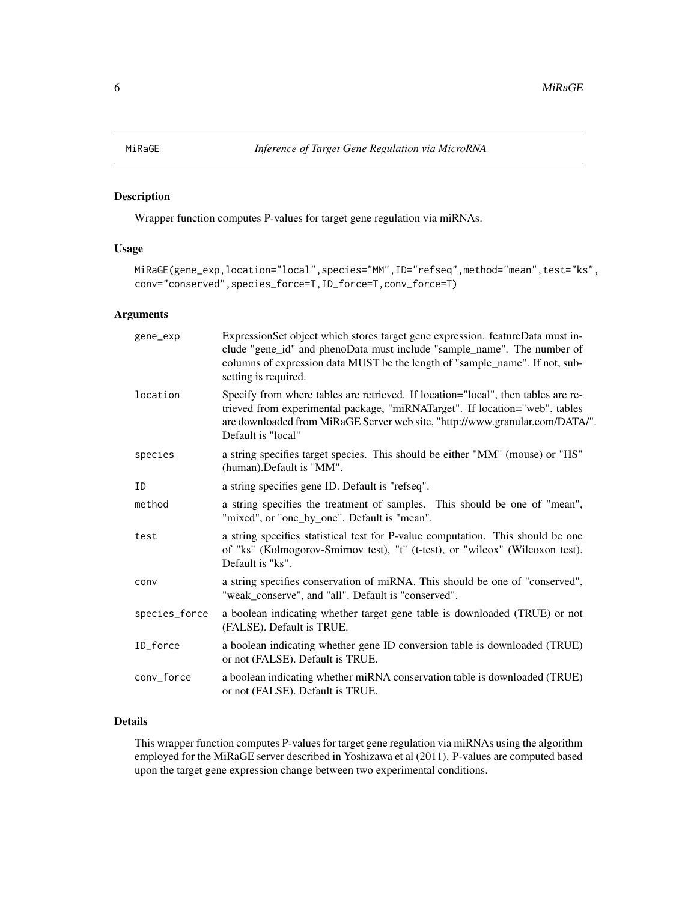#### <span id="page-5-0"></span>Description

Wrapper function computes P-values for target gene regulation via miRNAs.

#### Usage

```
MiRaGE(gene_exp,location="local",species="MM",ID="refseq",method="mean",test="ks",
conv="conserved",species_force=T,ID_force=T,conv_force=T)
```
#### Arguments

| gene_exp      | ExpressionSet object which stores target gene expression. featureData must in-<br>clude "gene_id" and phenoData must include "sample_name". The number of<br>columns of expression data MUST be the length of "sample_name". If not, sub-<br>setting is required.      |
|---------------|------------------------------------------------------------------------------------------------------------------------------------------------------------------------------------------------------------------------------------------------------------------------|
| location      | Specify from where tables are retrieved. If location="local", then tables are re-<br>trieved from experimental package, "miRNATarget". If location="web", tables<br>are downloaded from MiRaGE Server web site, "http://www.granular.com/DATA/".<br>Default is "local" |
| species       | a string specifies target species. This should be either "MM" (mouse) or "HS"<br>(human). Default is "MM".                                                                                                                                                             |
| ID            | a string specifies gene ID. Default is "refseq".                                                                                                                                                                                                                       |
| method        | a string specifies the treatment of samples. This should be one of "mean",<br>"mixed", or "one_by_one". Default is "mean".                                                                                                                                             |
| test          | a string specifies statistical test for P-value computation. This should be one<br>of "ks" (Kolmogorov-Smirnov test), "t" (t-test), or "wilcox" (Wilcoxon test).<br>Default is "ks".                                                                                   |
| conv          | a string specifies conservation of miRNA. This should be one of "conserved",<br>"weak_conserve", and "all". Default is "conserved".                                                                                                                                    |
| species_force | a boolean indicating whether target gene table is downloaded (TRUE) or not<br>(FALSE). Default is TRUE.                                                                                                                                                                |
| ID_force      | a boolean indicating whether gene ID conversion table is downloaded (TRUE)<br>or not (FALSE). Default is TRUE.                                                                                                                                                         |
| conv_force    | a boolean indicating whether miRNA conservation table is downloaded (TRUE)<br>or not (FALSE). Default is TRUE.                                                                                                                                                         |

#### Details

This wrapper function computes P-values for target gene regulation via miRNAs using the algorithm employed for the MiRaGE server described in Yoshizawa et al (2011). P-values are computed based upon the target gene expression change between two experimental conditions.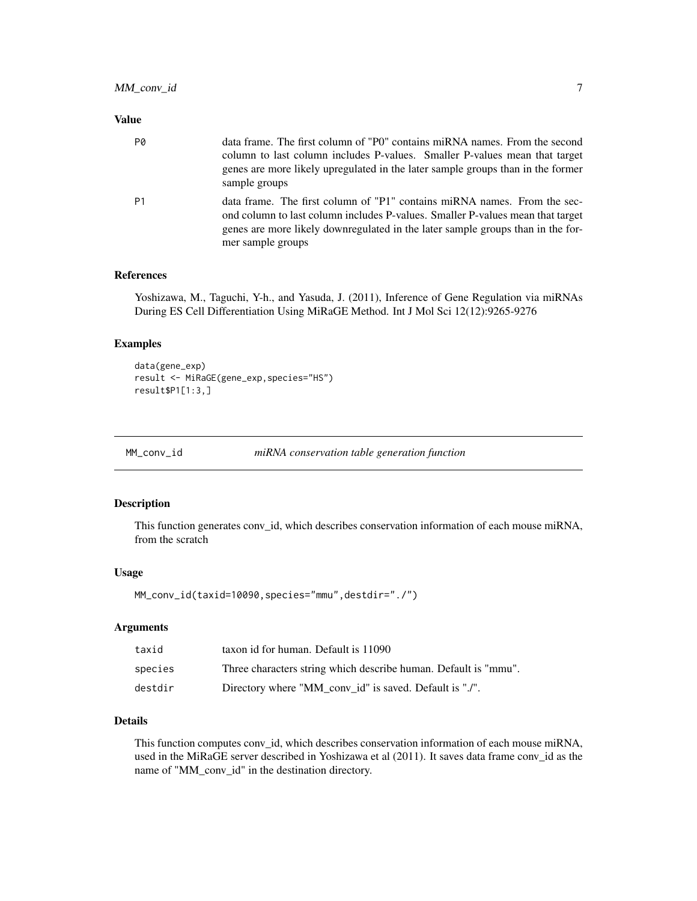#### <span id="page-6-0"></span>Value

| P0 | data frame. The first column of "P0" contains miRNA names. From the second<br>column to last column includes P-values. Smaller P-values mean that target<br>genes are more likely upregulated in the later sample groups than in the former<br>sample groups       |
|----|--------------------------------------------------------------------------------------------------------------------------------------------------------------------------------------------------------------------------------------------------------------------|
| P1 | data frame. The first column of "P1" contains miRNA names. From the sec-<br>ond column to last column includes P-values. Smaller P-values mean that target<br>genes are more likely downregulated in the later sample groups than in the for-<br>mer sample groups |

#### References

Yoshizawa, M., Taguchi, Y-h., and Yasuda, J. (2011), Inference of Gene Regulation via miRNAs During ES Cell Differentiation Using MiRaGE Method. Int J Mol Sci 12(12):9265-9276

#### Examples

```
data(gene_exp)
result <- MiRaGE(gene_exp,species="HS")
result$P1[1:3,]
```
MM\_conv\_id *miRNA conservation table generation function*

#### Description

This function generates conv\_id, which describes conservation information of each mouse miRNA, from the scratch

#### Usage

MM\_conv\_id(taxid=10090,species="mmu",destdir="./")

#### Arguments

| taxid   | taxon id for human. Default is 11090                            |
|---------|-----------------------------------------------------------------|
| species | Three characters string which describe human. Default is "mmu". |
| destdir | Directory where "MM_conv_id" is saved. Default is "./".         |

#### Details

This function computes conv\_id, which describes conservation information of each mouse miRNA, used in the MiRaGE server described in Yoshizawa et al (2011). It saves data frame conv\_id as the name of "MM\_conv\_id" in the destination directory.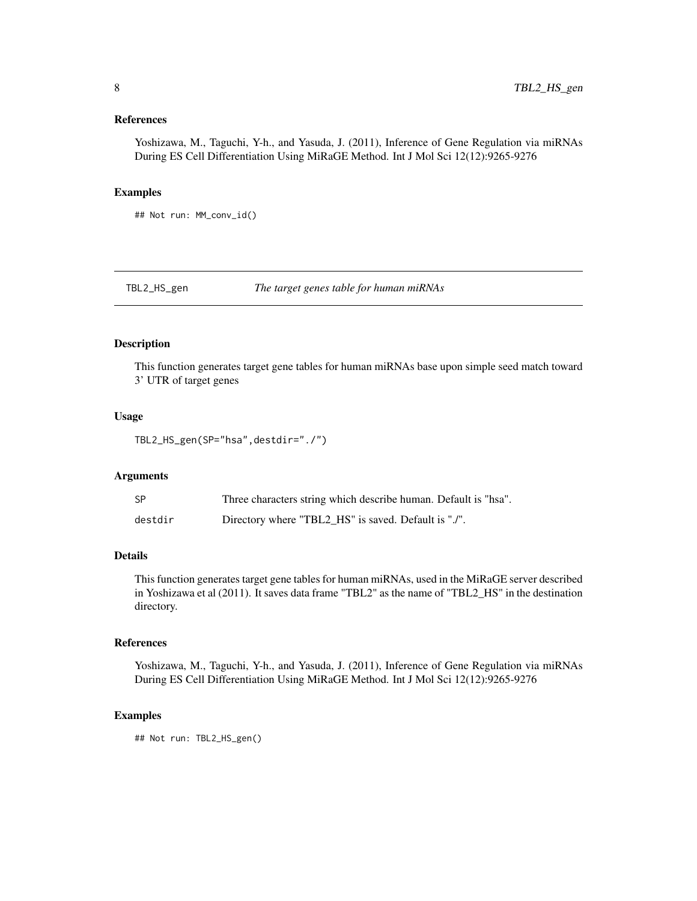#### <span id="page-7-0"></span>References

Yoshizawa, M., Taguchi, Y-h., and Yasuda, J. (2011), Inference of Gene Regulation via miRNAs During ES Cell Differentiation Using MiRaGE Method. Int J Mol Sci 12(12):9265-9276

#### Examples

## Not run: MM\_conv\_id()

TBL2\_HS\_gen *The target genes table for human miRNAs*

#### Description

This function generates target gene tables for human miRNAs base upon simple seed match toward 3' UTR of target genes

#### Usage

TBL2\_HS\_gen(SP="hsa",destdir="./")

#### Arguments

| <b>SP</b> | Three characters string which describe human. Default is "hsa". |
|-----------|-----------------------------------------------------------------|
| destdir   | Directory where "TBL2_HS" is saved. Default is "./".            |

#### Details

This function generates target gene tables for human miRNAs, used in the MiRaGE server described in Yoshizawa et al (2011). It saves data frame "TBL2" as the name of "TBL2\_HS" in the destination directory.

#### References

Yoshizawa, M., Taguchi, Y-h., and Yasuda, J. (2011), Inference of Gene Regulation via miRNAs During ES Cell Differentiation Using MiRaGE Method. Int J Mol Sci 12(12):9265-9276

#### Examples

## Not run: TBL2\_HS\_gen()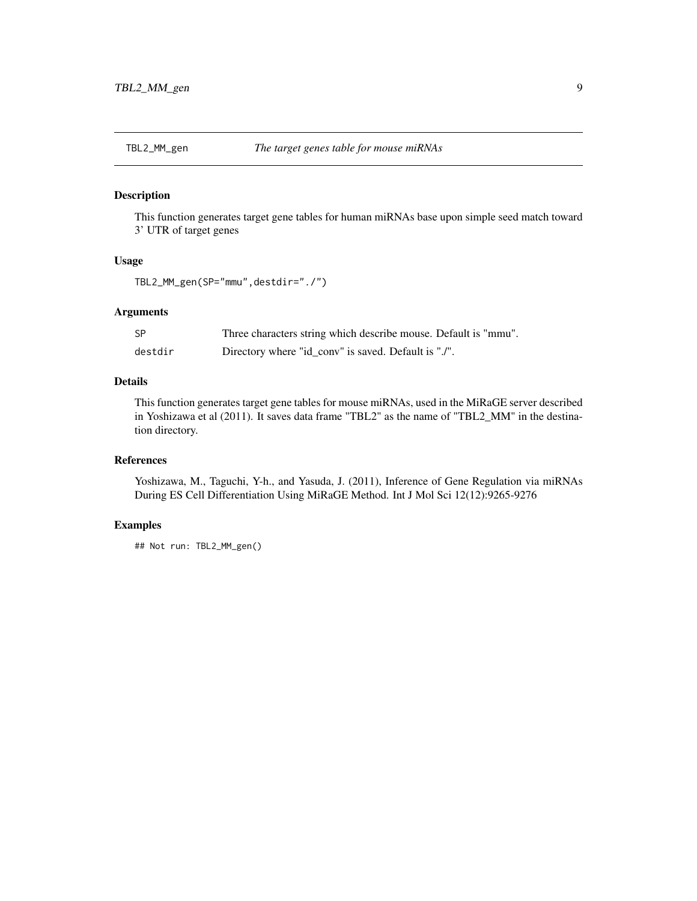<span id="page-8-0"></span>

#### Description

This function generates target gene tables for human miRNAs base upon simple seed match toward 3' UTR of target genes

#### Usage

TBL2\_MM\_gen(SP="mmu",destdir="./")

#### Arguments

| -SP     | Three characters string which describe mouse. Default is "mmu". |
|---------|-----------------------------------------------------------------|
| destdir | Directory where "id_conv" is saved. Default is "./".            |

#### Details

This function generates target gene tables for mouse miRNAs, used in the MiRaGE server described in Yoshizawa et al (2011). It saves data frame "TBL2" as the name of "TBL2\_MM" in the destination directory.

#### References

Yoshizawa, M., Taguchi, Y-h., and Yasuda, J. (2011), Inference of Gene Regulation via miRNAs During ES Cell Differentiation Using MiRaGE Method. Int J Mol Sci 12(12):9265-9276

#### Examples

## Not run: TBL2\_MM\_gen()